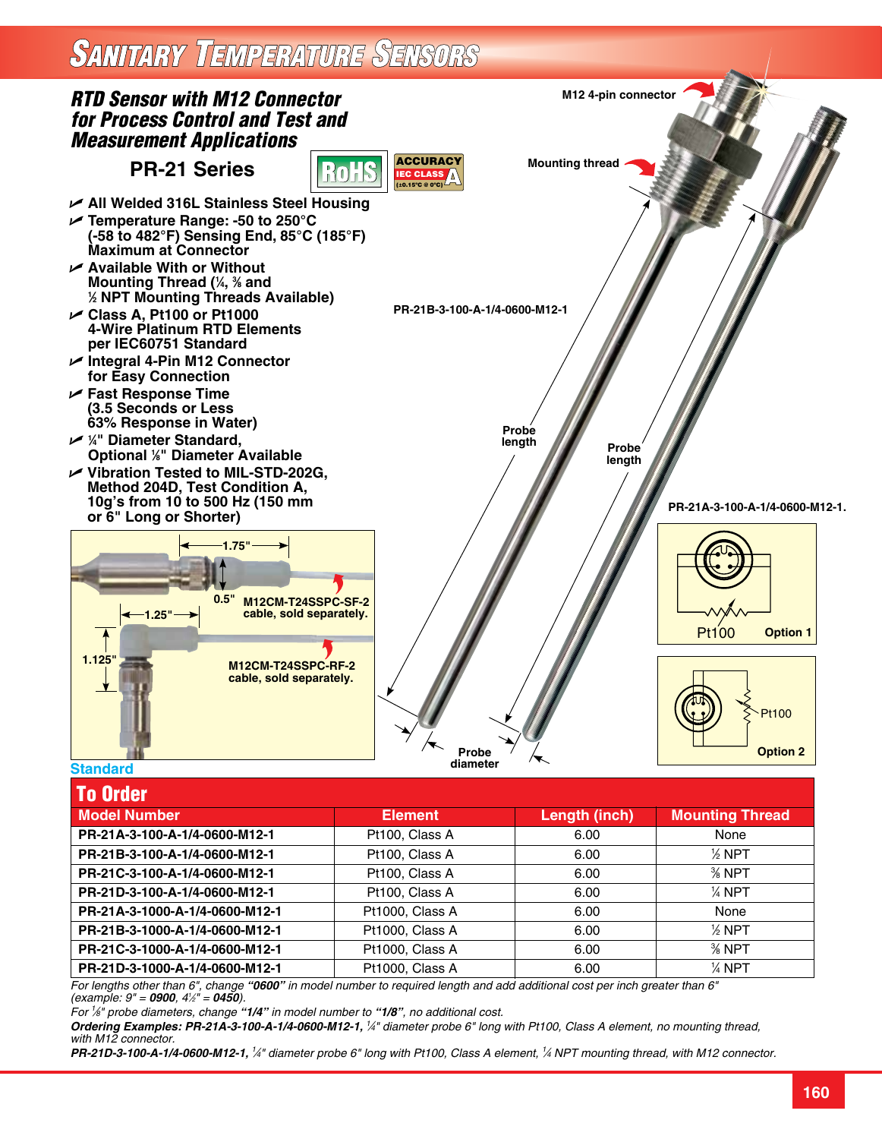## **SANITARY TEMPERATURE SENSORS**



| IU VIUGI                       |                 |               |                        |
|--------------------------------|-----------------|---------------|------------------------|
| <b>Model Number</b>            | <b>Element</b>  | Length (inch) | <b>Mounting Thread</b> |
| PR-21A-3-100-A-1/4-0600-M12-1  | Pt100, Class A  | 6.00          | None                   |
| PR-21B-3-100-A-1/4-0600-M12-1  | Pt100, Class A  | 6.00          | $%$ NPT                |
| PR-21C-3-100-A-1/4-0600-M12-1  | Pt100, Class A  | 6.00          | $%$ NPT                |
| PR-21D-3-100-A-1/4-0600-M12-1  | Pt100, Class A  | 6.00          | $\frac{1}{4}$ NPT      |
| PR-21A-3-1000-A-1/4-0600-M12-1 | Pt1000, Class A | 6.00          | None                   |
| PR-21B-3-1000-A-1/4-0600-M12-1 | Pt1000, Class A | 6.00          | $%$ NPT                |
| PR-21C-3-1000-A-1/4-0600-M12-1 | Pt1000, Class A | 6.00          | $%$ NPT                |
| PR-21D-3-1000-A-1/4-0600-M12-1 | Pt1000, Class A | 6.00          | $\frac{1}{4}$ NPT      |

*For lengths other than 6", change "0600" in model number to required length and add additional cost per inch greater than 6" (example: 9" = 0900, 41 ⁄2" = 0450).*

*For 1 ⁄8" probe diameters, change "1/4" in model number to "1/8", no additional cost.*

*Ordering Examples: PR-21A-3-100-A-1/4-0600-M12-1, <sup>1</sup> ⁄4" diameter probe 6" long with Pt100, Class A element, no mounting thread, with M12 connector.*

*PR-21D-3-100-A-1/4-0600-M12-1, <sup>1</sup> ⁄4" diameter probe 6" long with Pt100, Class A element, 1 ⁄4 NPT mounting thread, with M12 connector.*